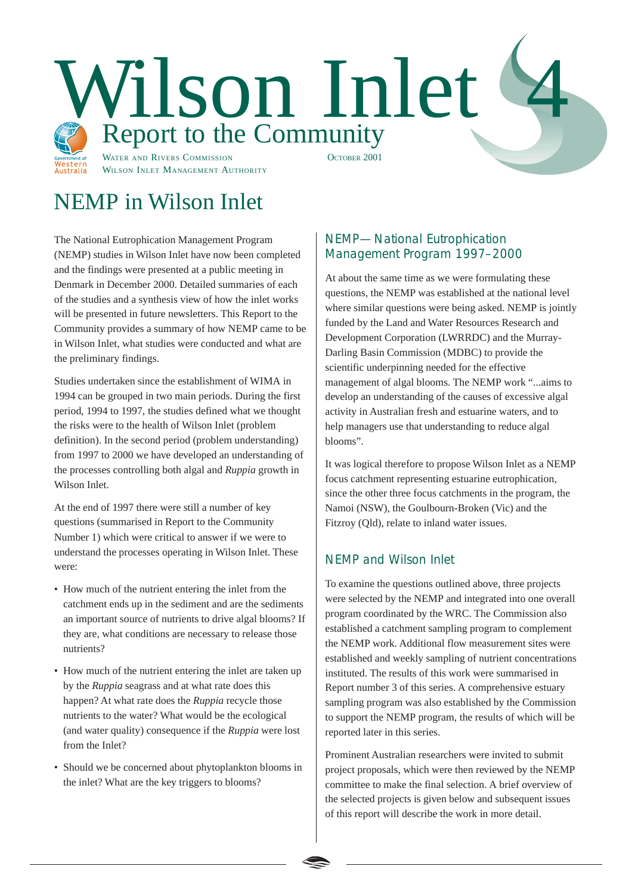

# NEMP in Wilson Inlet

The National Eutrophication Management Program (NEMP) studies in Wilson Inlet have now been completed and the findings were presented at a public meeting in Denmark in December 2000. Detailed summaries of each of the studies and a synthesis view of how the inlet works will be presented in future newsletters. This Report to the Community provides a summary of how NEMP came to be in Wilson Inlet, what studies were conducted and what are the preliminary findings.

Studies undertaken since the establishment of WIMA in 1994 can be grouped in two main periods. During the first period, 1994 to 1997, the studies defined what we thought the risks were to the health of Wilson Inlet (problem definition). In the second period (problem understanding) from 1997 to 2000 we have developed an understanding of the processes controlling both algal and *Ruppia* growth in Wilson Inlet.

At the end of 1997 there were still a number of key questions (summarised in Report to the Community Number 1) which were critical to answer if we were to understand the processes operating in Wilson Inlet. These were:

- How much of the nutrient entering the inlet from the catchment ends up in the sediment and are the sediments an important source of nutrients to drive algal blooms? If they are, what conditions are necessary to release those nutrients?
- How much of the nutrient entering the inlet are taken up by the *Ruppia* seagrass and at what rate does this happen? At what rate does the *Ruppia* recycle those nutrients to the water? What would be the ecological (and water quality) consequence if the *Ruppia* were lost from the Inlet?
- Should we be concerned about phytoplankton blooms in the inlet? What are the key triggers to blooms?

# NEMP—National Eutrophication Management Program 1997–2000

At about the same time as we were formulating these questions, the NEMP was established at the national level where similar questions were being asked. NEMP is jointly funded by the Land and Water Resources Research and Development Corporation (LWRRDC) and the Murray-Darling Basin Commission (MDBC) to provide the scientific underpinning needed for the effective management of algal blooms. The NEMP work "...aims to develop an understanding of the causes of excessive algal activity in Australian fresh and estuarine waters, and to help managers use that understanding to reduce algal blooms".

It was logical therefore to propose Wilson Inlet as a NEMP focus catchment representing estuarine eutrophication, since the other three focus catchments in the program, the Namoi (NSW), the Goulbourn-Broken (Vic) and the Fitzroy (Qld), relate to inland water issues.

# NEMP and Wilson Inlet

To examine the questions outlined above, three projects were selected by the NEMP and integrated into one overall program coordinated by the WRC. The Commission also established a catchment sampling program to complement the NEMP work. Additional flow measurement sites were established and weekly sampling of nutrient concentrations instituted. The results of this work were summarised in Report number 3 of this series. A comprehensive estuary sampling program was also established by the Commission to support the NEMP program, the results of which will be reported later in this series.

Prominent Australian researchers were invited to submit project proposals, which were then reviewed by the NEMP committee to make the final selection. A brief overview of the selected projects is given below and subsequent issues of this report will describe the work in more detail.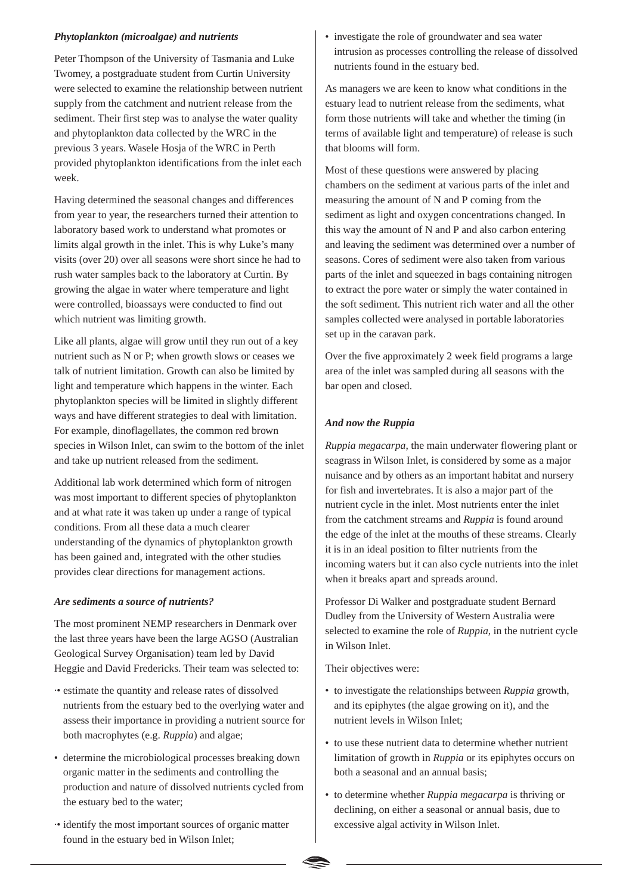#### *Phytoplankton (microalgae) and nutrients*

Peter Thompson of the University of Tasmania and Luke Twomey, a postgraduate student from Curtin University were selected to examine the relationship between nutrient supply from the catchment and nutrient release from the sediment. Their first step was to analyse the water quality and phytoplankton data collected by the WRC in the previous 3 years. Wasele Hosja of the WRC in Perth provided phytoplankton identifications from the inlet each week.

Having determined the seasonal changes and differences from year to year, the researchers turned their attention to laboratory based work to understand what promotes or limits algal growth in the inlet. This is why Luke's many visits (over 20) over all seasons were short since he had to rush water samples back to the laboratory at Curtin. By growing the algae in water where temperature and light were controlled, bioassays were conducted to find out which nutrient was limiting growth.

Like all plants, algae will grow until they run out of a key nutrient such as N or P; when growth slows or ceases we talk of nutrient limitation. Growth can also be limited by light and temperature which happens in the winter. Each phytoplankton species will be limited in slightly different ways and have different strategies to deal with limitation. For example, dinoflagellates, the common red brown species in Wilson Inlet, can swim to the bottom of the inlet and take up nutrient released from the sediment.

Additional lab work determined which form of nitrogen was most important to different species of phytoplankton and at what rate it was taken up under a range of typical conditions. From all these data a much clearer understanding of the dynamics of phytoplankton growth has been gained and, integrated with the other studies provides clear directions for management actions.

#### *Are sediments a source of nutrients?*

The most prominent NEMP researchers in Denmark over the last three years have been the large AGSO (Australian Geological Survey Organisation) team led by David Heggie and David Fredericks. Their team was selected to:

- ·• estimate the quantity and release rates of dissolved nutrients from the estuary bed to the overlying water and assess their importance in providing a nutrient source for both macrophytes (e.g. *Ruppia*) and algae;
- determine the microbiological processes breaking down organic matter in the sediments and controlling the production and nature of dissolved nutrients cycled from the estuary bed to the water;
- ·• identify the most important sources of organic matter found in the estuary bed in Wilson Inlet;

• investigate the role of groundwater and sea water intrusion as processes controlling the release of dissolved nutrients found in the estuary bed.

As managers we are keen to know what conditions in the estuary lead to nutrient release from the sediments, what form those nutrients will take and whether the timing (in terms of available light and temperature) of release is such that blooms will form.

Most of these questions were answered by placing chambers on the sediment at various parts of the inlet and measuring the amount of N and P coming from the sediment as light and oxygen concentrations changed. In this way the amount of N and P and also carbon entering and leaving the sediment was determined over a number of seasons. Cores of sediment were also taken from various parts of the inlet and squeezed in bags containing nitrogen to extract the pore water or simply the water contained in the soft sediment. This nutrient rich water and all the other samples collected were analysed in portable laboratories set up in the caravan park.

Over the five approximately 2 week field programs a large area of the inlet was sampled during all seasons with the bar open and closed.

#### *And now the Ruppia*

*Ruppia megacarpa*, the main underwater flowering plant or seagrass in Wilson Inlet, is considered by some as a major nuisance and by others as an important habitat and nursery for fish and invertebrates. It is also a major part of the nutrient cycle in the inlet. Most nutrients enter the inlet from the catchment streams and *Ruppia* is found around the edge of the inlet at the mouths of these streams. Clearly it is in an ideal position to filter nutrients from the incoming waters but it can also cycle nutrients into the inlet when it breaks apart and spreads around.

Professor Di Walker and postgraduate student Bernard Dudley from the University of Western Australia were selected to examine the role of *Ruppia*, in the nutrient cycle in Wilson Inlet.

Their objectives were:

- to investigate the relationships between *Ruppia* growth, and its epiphytes (the algae growing on it), and the nutrient levels in Wilson Inlet;
- to use these nutrient data to determine whether nutrient limitation of growth in *Ruppia* or its epiphytes occurs on both a seasonal and an annual basis;
- to determine whether *Ruppia megacarpa* is thriving or declining, on either a seasonal or annual basis, due to excessive algal activity in Wilson Inlet.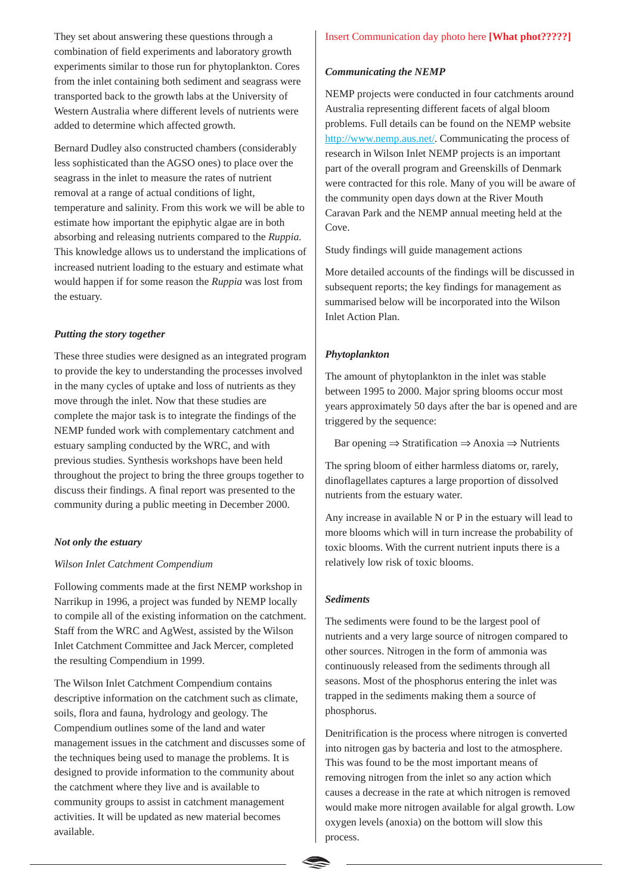They set about answering these questions through a combination of field experiments and laboratory growth experiments similar to those run for phytoplankton. Cores from the inlet containing both sediment and seagrass were transported back to the growth labs at the University of Western Australia where different levels of nutrients were added to determine which affected growth.

Bernard Dudley also constructed chambers (considerably less sophisticated than the AGSO ones) to place over the seagrass in the inlet to measure the rates of nutrient removal at a range of actual conditions of light, temperature and salinity. From this work we will be able to estimate how important the epiphytic algae are in both absorbing and releasing nutrients compared to the *Ruppia.* This knowledge allows us to understand the implications of increased nutrient loading to the estuary and estimate what would happen if for some reason the *Ruppia* was lost from the estuary.

#### *Putting the story together*

These three studies were designed as an integrated program to provide the key to understanding the processes involved in the many cycles of uptake and loss of nutrients as they move through the inlet. Now that these studies are complete the major task is to integrate the findings of the NEMP funded work with complementary catchment and estuary sampling conducted by the WRC, and with previous studies. Synthesis workshops have been held throughout the project to bring the three groups together to discuss their findings. A final report was presented to the community during a public meeting in December 2000.

#### *Not only the estuary*

#### *Wilson Inlet Catchment Compendium*

Following comments made at the first NEMP workshop in Narrikup in 1996, a project was funded by NEMP locally to compile all of the existing information on the catchment. Staff from the WRC and AgWest, assisted by the Wilson Inlet Catchment Committee and Jack Mercer, completed the resulting Compendium in 1999.

The Wilson Inlet Catchment Compendium contains descriptive information on the catchment such as climate, soils, flora and fauna, hydrology and geology. The Compendium outlines some of the land and water management issues in the catchment and discusses some of the techniques being used to manage the problems. It is designed to provide information to the community about the catchment where they live and is available to community groups to assist in catchment management activities. It will be updated as new material becomes available.

#### *Communicating the NEMP*

NEMP projects were conducted in four catchments around Australia representing different facets of algal bloom problems. Full details can be found on the NEMP website http://www.nemp.aus.net/. Communicating the process of research in Wilson Inlet NEMP projects is an important part of the overall program and Greenskills of Denmark were contracted for this role. Many of you will be aware of the community open days down at the River Mouth Caravan Park and the NEMP annual meeting held at the Cove.

Study findings will guide management actions

More detailed accounts of the findings will be discussed in subsequent reports; the key findings for management as summarised below will be incorporated into the Wilson Inlet Action Plan.

#### *Phytoplankton*

The amount of phytoplankton in the inlet was stable between 1995 to 2000. Major spring blooms occur most years approximately 50 days after the bar is opened and are triggered by the sequence:

Bar opening  $\Rightarrow$  Stratification  $\Rightarrow$  Anoxia  $\Rightarrow$  Nutrients

The spring bloom of either harmless diatoms or, rarely, dinoflagellates captures a large proportion of dissolved nutrients from the estuary water.

Any increase in available N or P in the estuary will lead to more blooms which will in turn increase the probability of toxic blooms. With the current nutrient inputs there is a relatively low risk of toxic blooms.

#### *Sediments*

The sediments were found to be the largest pool of nutrients and a very large source of nitrogen compared to other sources. Nitrogen in the form of ammonia was continuously released from the sediments through all seasons. Most of the phosphorus entering the inlet was trapped in the sediments making them a source of phosphorus.

Denitrification is the process where nitrogen is converted into nitrogen gas by bacteria and lost to the atmosphere. This was found to be the most important means of removing nitrogen from the inlet so any action which causes a decrease in the rate at which nitrogen is removed would make more nitrogen available for algal growth. Low oxygen levels (anoxia) on the bottom will slow this process.

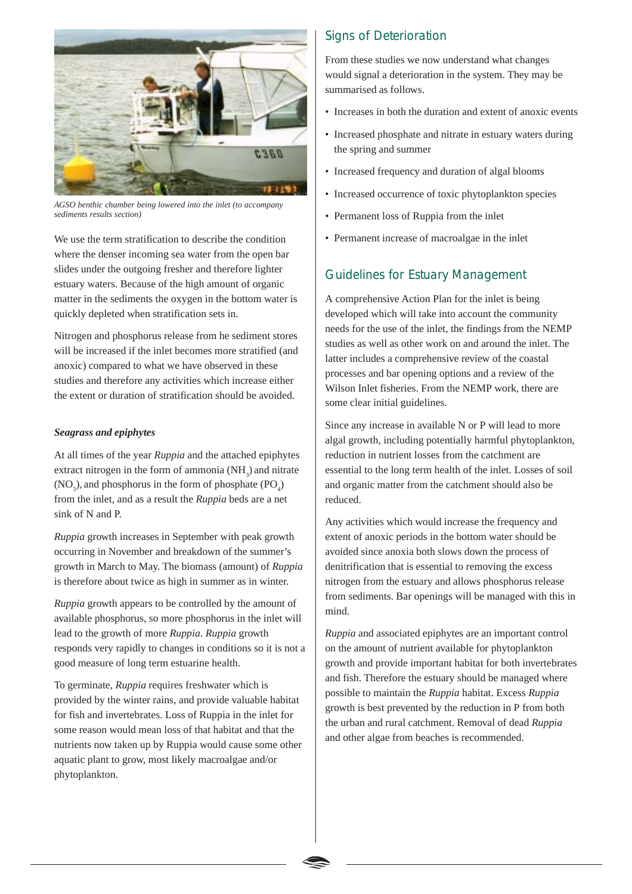

*AGSO benthic chamber being lowered into the inlet (to accompany sediments results section)*

We use the term stratification to describe the condition where the denser incoming sea water from the open bar slides under the outgoing fresher and therefore lighter estuary waters. Because of the high amount of organic matter in the sediments the oxygen in the bottom water is quickly depleted when stratification sets in.

Nitrogen and phosphorus release from he sediment stores will be increased if the inlet becomes more stratified (and anoxic) compared to what we have observed in these studies and therefore any activities which increase either the extent or duration of stratification should be avoided.

#### *Seagrass and epiphytes*

At all times of the year *Ruppia* and the attached epiphytes extract nitrogen in the form of ammonia  $(NH<sub>3</sub>)$  and nitrate  $(NO<sub>3</sub>)$ , and phosphorus in the form of phosphate  $(PO<sub>4</sub>)$ from the inlet, and as a result the *Ruppia* beds are a net sink of N and P.

*Ruppia* growth increases in September with peak growth occurring in November and breakdown of the summer's growth in March to May. The biomass (amount) of *Ruppia* is therefore about twice as high in summer as in winter.

*Ruppia* growth appears to be controlled by the amount of available phosphorus, so more phosphorus in the inlet will lead to the growth of more *Ruppia*. *Ruppia* growth responds very rapidly to changes in conditions so it is not a good measure of long term estuarine health.

To germinate, *Ruppia* requires freshwater which is provided by the winter rains, and provide valuable habitat for fish and invertebrates. Loss of Ruppia in the inlet for some reason would mean loss of that habitat and that the nutrients now taken up by Ruppia would cause some other aquatic plant to grow, most likely macroalgae and/or phytoplankton.

## Signs of Deterioration

From these studies we now understand what changes would signal a deterioration in the system. They may be summarised as follows.

- Increases in both the duration and extent of anoxic events
- Increased phosphate and nitrate in estuary waters during the spring and summer
- Increased frequency and duration of algal blooms
- Increased occurrence of toxic phytoplankton species
- Permanent loss of Ruppia from the inlet
- Permanent increase of macroalgae in the inlet

## Guidelines for Estuary Management

A comprehensive Action Plan for the inlet is being developed which will take into account the community needs for the use of the inlet, the findings from the NEMP studies as well as other work on and around the inlet. The latter includes a comprehensive review of the coastal processes and bar opening options and a review of the Wilson Inlet fisheries. From the NEMP work, there are some clear initial guidelines.

Since any increase in available N or P will lead to more algal growth, including potentially harmful phytoplankton, reduction in nutrient losses from the catchment are essential to the long term health of the inlet. Losses of soil and organic matter from the catchment should also be reduced.

Any activities which would increase the frequency and extent of anoxic periods in the bottom water should be avoided since anoxia both slows down the process of denitrification that is essential to removing the excess nitrogen from the estuary and allows phosphorus release from sediments. Bar openings will be managed with this in mind.

*Ruppia* and associated epiphytes are an important control on the amount of nutrient available for phytoplankton growth and provide important habitat for both invertebrates and fish. Therefore the estuary should be managed where possible to maintain the *Ruppia* habitat. Excess *Ruppia* growth is best prevented by the reduction in P from both the urban and rural catchment. Removal of dead *Ruppia* and other algae from beaches is recommended.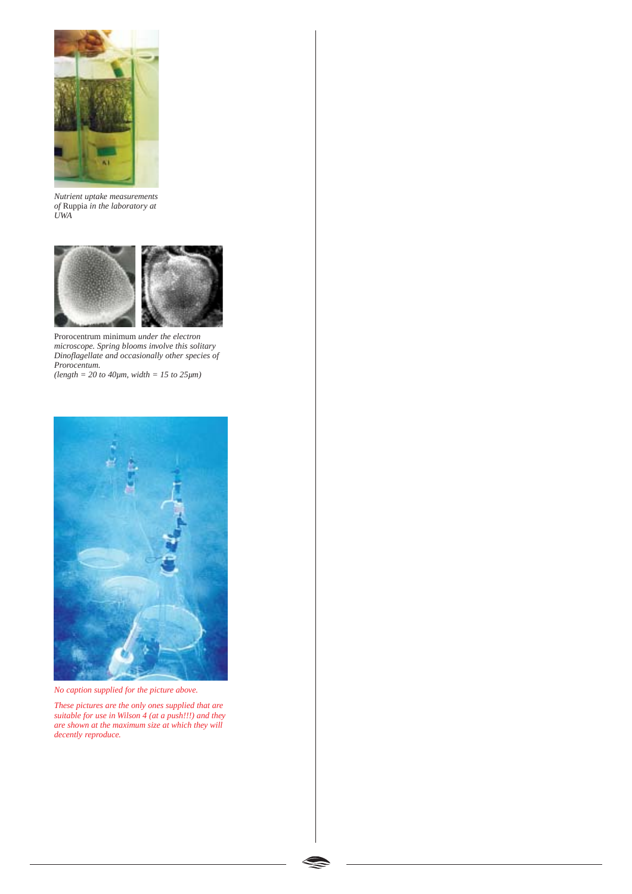

*Nutrient uptake measurements of* Ruppia *in the laboratory at UWA*



Prorocentrum minimum *under the electron microscope. Spring blooms involve this solitary Dinoflagellate and occasionally other species of Prorocentum.*

*(length = 20 to 40µm, width = 15 to 25µm)*



*No caption supplied for the picture above.*

*These pictures are the only ones supplied that are suitable for use in Wilson 4 (at a push!!!) and they are shown at the maximum size at which they will decently reproduce.*